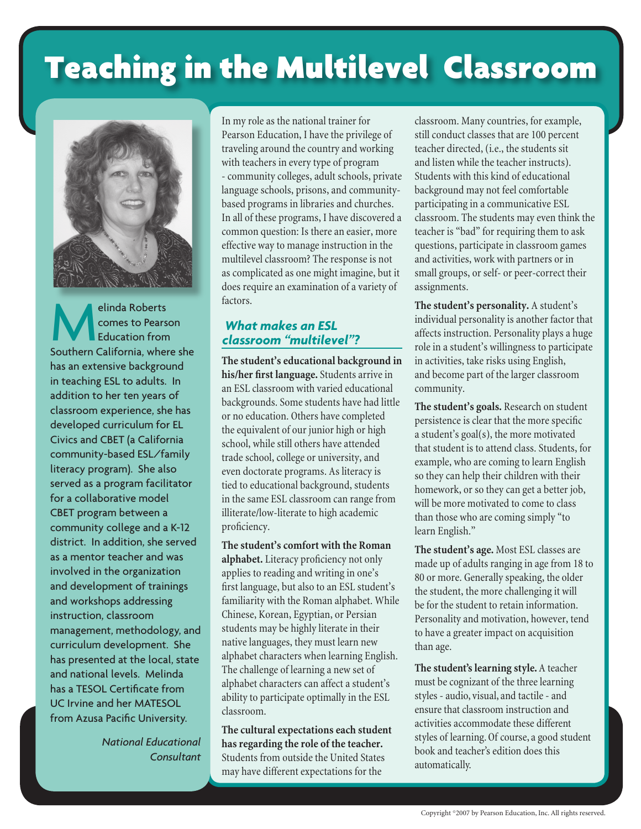# Teaching in the Multilevel Classroom



elinda Roberts<br>
comes to Pears<br>
Education from comes to Pearson Education from Southern California, where she has an extensive background in teaching ESL to adults. In addition to her ten years of classroom experience, she has developed curriculum for EL Civics and CBET (a California community-based ESL/family literacy program). She also served as a program facilitator for a collaborative model CBET program between a community college and a K-12 district. In addition, she served as a mentor teacher and was involved in the organization and development of trainings and workshops addressing instruction, classroom management, methodology, and curriculum development. She has presented at the local, state and national levels. Melinda has a TESOL Certificate from UC Irvine and her MATESOL from Azusa Pacific University.

> *National Educational Consultant*

In my role as the national trainer for Pearson Education, I have the privilege of traveling around the country and working with teachers in every type of program - community colleges, adult schools, private language schools, prisons, and communitybased programs in libraries and churches. In all of these programs, I have discovered a common question: Is there an easier, more effective way to manage instruction in the multilevel classroom? The response is not as complicated as one might imagine, but it does require an examination of a variety of factors.

## *What makes an ESL classroom "multilevel"?*

**The student's educational background in his/her first language.** Students arrive in an ESL classroom with varied educational backgrounds. Some students have had little or no education. Others have completed the equivalent of our junior high or high school, while still others have attended trade school, college or university, and even doctorate programs. As literacy is tied to educational background, students in the same ESL classroom can range from illiterate/low-literate to high academic proficiency.

**The student's comfort with the Roman alphabet.** Literacy proficiency not only applies to reading and writing in one's first language, but also to an ESL student's familiarity with the Roman alphabet. While Chinese, Korean, Egyptian, or Persian students may be highly literate in their native languages, they must learn new alphabet characters when learning English. The challenge of learning a new set of alphabet characters can affect a student's ability to participate optimally in the ESL classroom.

**The cultural expectations each student has regarding the role of the teacher.** Students from outside the United States may have different expectations for the

classroom. Many countries, for example, still conduct classes that are 100 percent teacher directed, (i.e., the students sit and listen while the teacher instructs). Students with this kind of educational background may not feel comfortable participating in a communicative ESL classroom. The students may even think the teacher is "bad" for requiring them to ask questions, participate in classroom games and activities, work with partners or in small groups, or self- or peer-correct their assignments.

**The student's personality.** A student's individual personality is another factor that affects instruction. Personality plays a huge role in a student's willingness to participate in activities, take risks using English, and become part of the larger classroom community.

**The student's goals.** Research on student persistence is clear that the more specific a student's goal(s), the more motivated that student is to attend class. Students, for example, who are coming to learn English so they can help their children with their homework, or so they can get a better job, will be more motivated to come to class than those who are coming simply "to learn English."

**The student's age.** Most ESL classes are made up of adults ranging in age from 18 to 80 or more. Generally speaking, the older the student, the more challenging it will be for the student to retain information. Personality and motivation, however, tend to have a greater impact on acquisition than age.

**The student's learning style.** A teacher must be cognizant of the three learning styles - audio, visual, and tactile - and ensure that classroom instruction and activities accommodate these different styles of learning. Of course, a good student book and teacher's edition does this automatically.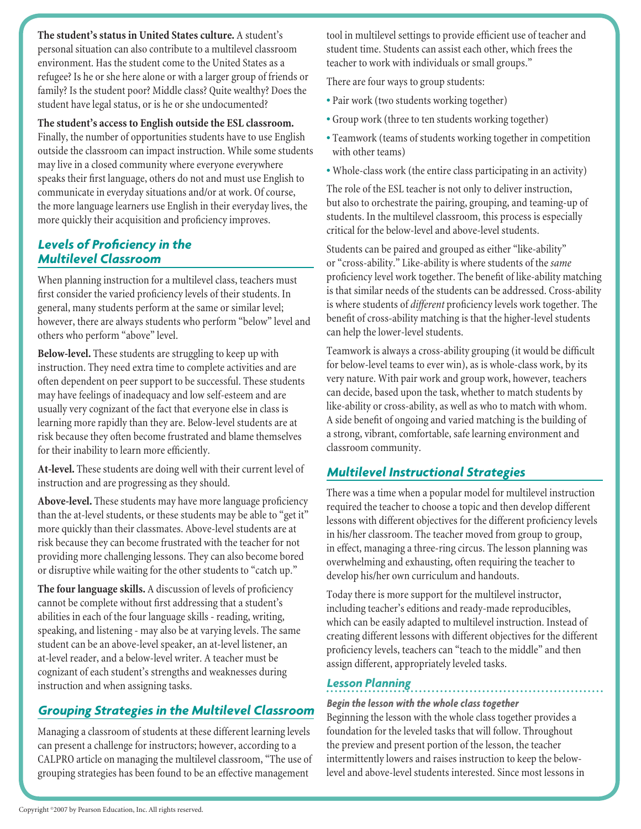**The student's status in United States culture.** A student's personal situation can also contribute to a multilevel classroom environment. Has the student come to the United States as a refugee? Is he or she here alone or with a larger group of friends or family? Is the student poor? Middle class? Quite wealthy? Does the student have legal status, or is he or she undocumented?

#### **The student's access to English outside the ESL classroom.**

Finally, the number of opportunities students have to use English outside the classroom can impact instruction. While some students may live in a closed community where everyone everywhere speaks their first language, others do not and must use English to communicate in everyday situations and/or at work. Of course, the more language learners use English in their everyday lives, the more quickly their acquisition and proficiency improves.

## *Levels of Proficiency in the Multilevel Classroom*

When planning instruction for a multilevel class, teachers must first consider the varied proficiency levels of their students. In general, many students perform at the same or similar level; however, there are always students who perform "below" level and others who perform "above" level.

**Below-level.** These students are struggling to keep up with instruction. They need extra time to complete activities and are often dependent on peer support to be successful. These students may have feelings of inadequacy and low self-esteem and are usually very cognizant of the fact that everyone else in class is learning more rapidly than they are. Below-level students are at risk because they often become frustrated and blame themselves for their inability to learn more efficiently.

**At-level.** These students are doing well with their current level of instruction and are progressing as they should.

**Above-level.** These students may have more language proficiency than the at-level students, or these students may be able to "get it" more quickly than their classmates. Above-level students are at risk because they can become frustrated with the teacher for not providing more challenging lessons. They can also become bored or disruptive while waiting for the other students to "catch up."

**The four language skills.** A discussion of levels of proficiency cannot be complete without first addressing that a student's abilities in each of the four language skills - reading, writing, speaking, and listening - may also be at varying levels. The same student can be an above-level speaker, an at-level listener, an at-level reader, and a below-level writer. A teacher must be cognizant of each student's strengths and weaknesses during instruction and when assigning tasks.

## *Grouping Strategies in the Multilevel Classroom*

Managing a classroom of students at these different learning levels can present a challenge for instructors; however, according to a CALPRO article on managing the multilevel classroom, "The use of grouping strategies has been found to be an effective management

tool in multilevel settings to provide efficient use of teacher and student time. Students can assist each other, which frees the teacher to work with individuals or small groups."

There are four ways to group students:

- Pair work (two students working together)
- Group work (three to ten students working together)
- Teamwork (teams of students working together in competition with other teams)
- Whole-class work (the entire class participating in an activity)

The role of the ESL teacher is not only to deliver instruction, but also to orchestrate the pairing, grouping, and teaming-up of students. In the multilevel classroom, this process is especially critical for the below-level and above-level students.

Students can be paired and grouped as either "like-ability" or "cross-ability." Like-ability is where students of the *same* proficiency level work together. The benefit of like-ability matching is that similar needs of the students can be addressed. Cross-ability is where students of *different* proficiency levels work together. The benefit of cross-ability matching is that the higher-level students can help the lower-level students.

Teamwork is always a cross-ability grouping (it would be difficult for below-level teams to ever win), as is whole-class work, by its very nature. With pair work and group work, however, teachers can decide, based upon the task, whether to match students by like-ability or cross-ability, as well as who to match with whom. A side benefit of ongoing and varied matching is the building of a strong, vibrant, comfortable, safe learning environment and classroom community.

# *Multilevel Instructional Strategies*

There was a time when a popular model for multilevel instruction required the teacher to choose a topic and then develop different lessons with different objectives for the different proficiency levels in his/her classroom. The teacher moved from group to group, in effect, managing a three-ring circus. The lesson planning was overwhelming and exhausting, often requiring the teacher to develop his/her own curriculum and handouts.

Today there is more support for the multilevel instructor, including teacher's editions and ready-made reproducibles, which can be easily adapted to multilevel instruction. Instead of creating different lessons with different objectives for the different proficiency levels, teachers can "teach to the middle" and then assign different, appropriately leveled tasks.

## *Lesson Planning*

#### *Begin the lesson with the whole class together*

Beginning the lesson with the whole class together provides a foundation for the leveled tasks that will follow. Throughout the preview and present portion of the lesson, the teacher intermittently lowers and raises instruction to keep the belowlevel and above-level students interested. Since most lessons in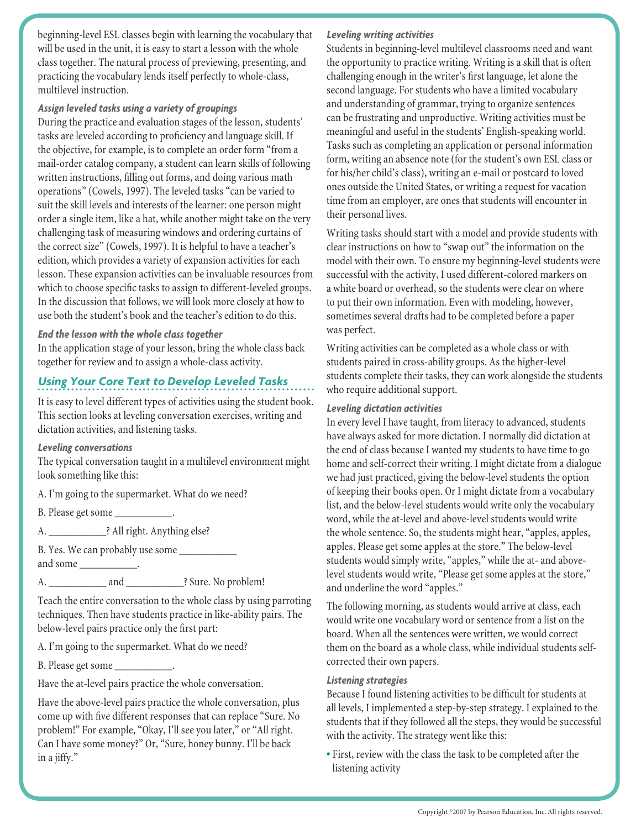beginning-level ESL classes begin with learning the vocabulary that will be used in the unit, it is easy to start a lesson with the whole class together. The natural process of previewing, presenting, and practicing the vocabulary lends itself perfectly to whole-class, multilevel instruction.

#### *Assign leveled tasks using a variety of groupings*

During the practice and evaluation stages of the lesson, students' tasks are leveled according to proficiency and language skill. If the objective, for example, is to complete an order form "from a mail-order catalog company, a student can learn skills of following written instructions, filling out forms, and doing various math operations" (Cowels, 1997). The leveled tasks "can be varied to suit the skill levels and interests of the learner: one person might order a single item, like a hat, while another might take on the very challenging task of measuring windows and ordering curtains of the correct size" (Cowels, 1997). It is helpful to have a teacher's edition, which provides a variety of expansion activities for each lesson. These expansion activities can be invaluable resources from which to choose specific tasks to assign to different-leveled groups. In the discussion that follows, we will look more closely at how to use both the student's book and the teacher's edition to do this.

#### *End the lesson with the whole class together*

In the application stage of your lesson, bring the whole class back together for review and to assign a whole-class activity.

# *Using Your Core Text to Develop Leveled Tasks*

It is easy to level different types of activities using the student book. This section looks at leveling conversation exercises, writing and dictation activities, and listening tasks.

#### *Leveling conversations*

The typical conversation taught in a multilevel environment might look something like this:

A. I'm going to the supermarket. What do we need?

B. Please get some \_\_\_\_\_\_\_\_\_\_\_.

A. \_\_\_\_\_\_\_\_\_\_? All right. Anything else?

B. Yes. We can probably use some \_\_\_\_\_\_\_\_\_\_\_\_\_\_\_ and some

A. \_\_\_\_\_\_\_\_\_\_\_\_\_\_\_ and \_\_\_\_\_\_\_\_\_\_\_\_? Sure. No problem!

Teach the entire conversation to the whole class by using parroting techniques. Then have students practice in like-ability pairs. The below-level pairs practice only the first part:

A. I'm going to the supermarket. What do we need?

B. Please get some \_\_\_\_\_\_\_\_\_\_\_.

Have the at-level pairs practice the whole conversation.

Have the above-level pairs practice the whole conversation, plus come up with five different responses that can replace "Sure. No problem!" For example, "Okay, I'll see you later," or "All right. Can I have some money?" Or, "Sure, honey bunny. I'll be back in a jiffy."

## *Leveling writing activities*

Students in beginning-level multilevel classrooms need and want the opportunity to practice writing. Writing is a skill that is often challenging enough in the writer's first language, let alone the second language. For students who have a limited vocabulary and understanding of grammar, trying to organize sentences can be frustrating and unproductive. Writing activities must be meaningful and useful in the students' English-speaking world. Tasks such as completing an application or personal information form, writing an absence note (for the student's own ESL class or for his/her child's class), writing an e-mail or postcard to loved ones outside the United States, or writing a request for vacation time from an employer, are ones that students will encounter in their personal lives.

Writing tasks should start with a model and provide students with clear instructions on how to "swap out" the information on the model with their own. To ensure my beginning-level students were successful with the activity, I used different-colored markers on a white board or overhead, so the students were clear on where to put their own information. Even with modeling, however, sometimes several drafts had to be completed before a paper was perfect.

Writing activities can be completed as a whole class or with students paired in cross-ability groups. As the higher-level students complete their tasks, they can work alongside the students who require additional support.

#### *Leveling dictation activities*

In every level I have taught, from literacy to advanced, students have always asked for more dictation. I normally did dictation at the end of class because I wanted my students to have time to go home and self-correct their writing. I might dictate from a dialogue we had just practiced, giving the below-level students the option of keeping their books open. Or I might dictate from a vocabulary list, and the below-level students would write only the vocabulary word, while the at-level and above-level students would write the whole sentence. So, the students might hear, "apples, apples, apples. Please get some apples at the store." The below-level students would simply write, "apples," while the at- and abovelevel students would write, "Please get some apples at the store," and underline the word "apples."

The following morning, as students would arrive at class, each would write one vocabulary word or sentence from a list on the board. When all the sentences were written, we would correct them on the board as a whole class, while individual students selfcorrected their own papers.

## *Listening strategies*

Because I found listening activities to be difficult for students at all levels, I implemented a step-by-step strategy. I explained to the students that if they followed all the steps, they would be successful with the activity. The strategy went like this:

• First, review with the class the task to be completed after the listening activity